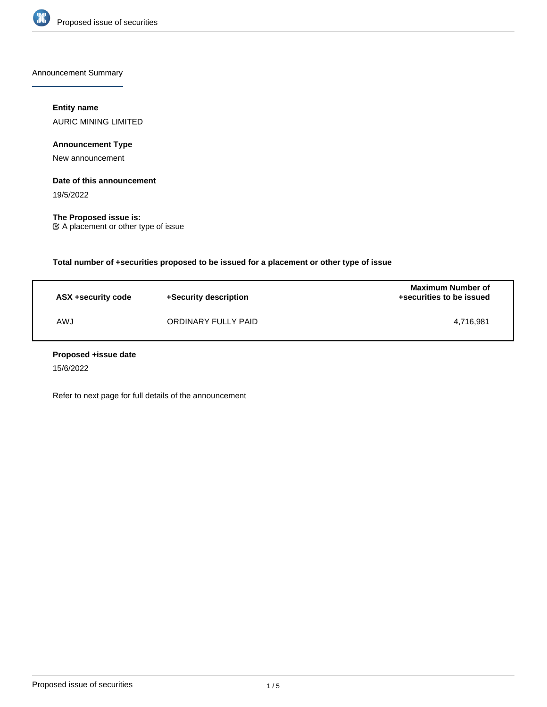

Announcement Summary

# **Entity name**

AURIC MINING LIMITED

**Announcement Type**

New announcement

# **Date of this announcement**

19/5/2022

**The Proposed issue is:** A placement or other type of issue

**Total number of +securities proposed to be issued for a placement or other type of issue**

| ASX +security code | +Security description | <b>Maximum Number of</b><br>+securities to be issued |
|--------------------|-----------------------|------------------------------------------------------|
| AWJ                | ORDINARY FULLY PAID   | 4.716.981                                            |

# **Proposed +issue date**

15/6/2022

Refer to next page for full details of the announcement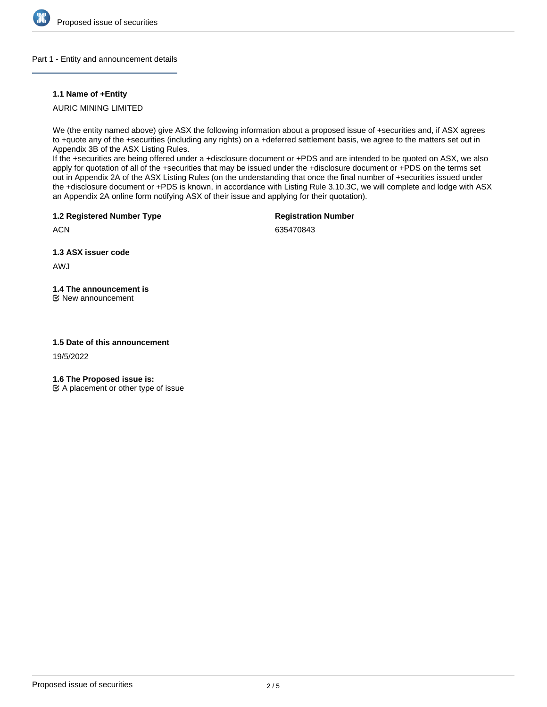

# Part 1 - Entity and announcement details

# **1.1 Name of +Entity**

# AURIC MINING LIMITED

We (the entity named above) give ASX the following information about a proposed issue of +securities and, if ASX agrees to +quote any of the +securities (including any rights) on a +deferred settlement basis, we agree to the matters set out in Appendix 3B of the ASX Listing Rules.

If the +securities are being offered under a +disclosure document or +PDS and are intended to be quoted on ASX, we also apply for quotation of all of the +securities that may be issued under the +disclosure document or +PDS on the terms set out in Appendix 2A of the ASX Listing Rules (on the understanding that once the final number of +securities issued under the +disclosure document or +PDS is known, in accordance with Listing Rule 3.10.3C, we will complete and lodge with ASX an Appendix 2A online form notifying ASX of their issue and applying for their quotation).

**1.2 Registered Number Type**

**Registration Number**

**ACN** 

635470843

**1.3 ASX issuer code**

AWJ

# **1.4 The announcement is**

New announcement

# **1.5 Date of this announcement**

19/5/2022

**1.6 The Proposed issue is:**

 $\mathfrak{C}$  A placement or other type of issue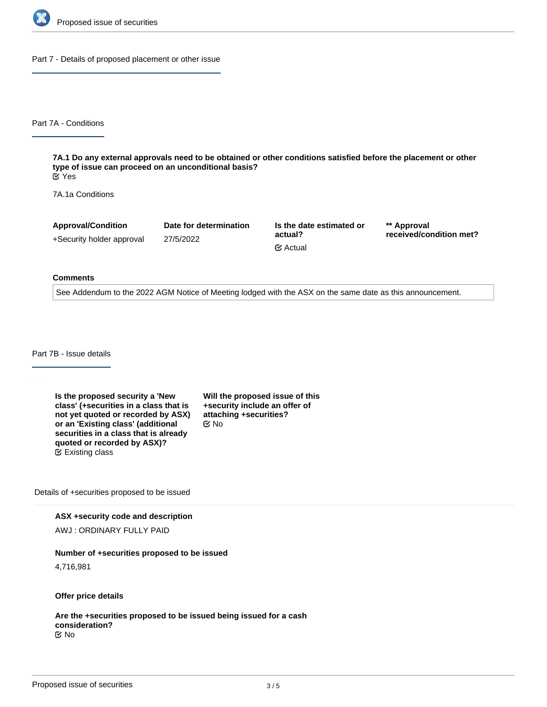

Part 7 - Details of proposed placement or other issue

Part 7A - Conditions

**7A.1 Do any external approvals need to be obtained or other conditions satisfied before the placement or other type of issue can proceed on an unconditional basis?** Yes

7A.1a Conditions

**Approval/Condition** +Security holder approval

27/5/2022

**Date for determination**

**Is the date estimated or actual?** Actual

**\*\* Approval received/condition met?**

#### **Comments**

See Addendum to the 2022 AGM Notice of Meeting lodged with the ASX on the same date as this announcement.

Part 7B - Issue details

**Is the proposed security a 'New class' (+securities in a class that is not yet quoted or recorded by ASX) or an 'Existing class' (additional securities in a class that is already quoted or recorded by ASX)?** Existing class

**Will the proposed issue of this +security include an offer of attaching +securities?** No

Details of +securities proposed to be issued

**ASX +security code and description**

AWJ : ORDINARY FULLY PAID

**Number of +securities proposed to be issued**

4,716,981

**Offer price details**

**Are the +securities proposed to be issued being issued for a cash consideration?** No

**Please describe the consideration being provided for the +securities**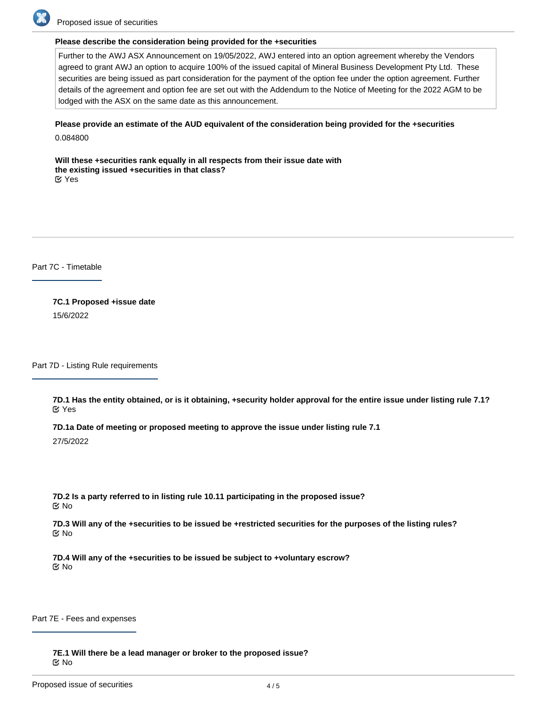

Proposed issue of securities

# **Please describe the consideration being provided for the +securities**

Further to the AWJ ASX Announcement on 19/05/2022, AWJ entered into an option agreement whereby the Vendors agreed to grant AWJ an option to acquire 100% of the issued capital of Mineral Business Development Pty Ltd. These securities are being issued as part consideration for the payment of the option fee under the option agreement. Further details of the agreement and option fee are set out with the Addendum to the Notice of Meeting for the 2022 AGM to be lodged with the ASX on the same date as this announcement.

# **Please provide an estimate of the AUD equivalent of the consideration being provided for the +securities**

0.084800

**Will these +securities rank equally in all respects from their issue date with the existing issued +securities in that class?** Yes

Part 7C - Timetable

**7C.1 Proposed +issue date** 15/6/2022

Part 7D - Listing Rule requirements

**7D.1 Has the entity obtained, or is it obtaining, +security holder approval for the entire issue under listing rule 7.1?** Yes

**7D.1a Date of meeting or proposed meeting to approve the issue under listing rule 7.1**

27/5/2022

**7D.2 Is a party referred to in listing rule 10.11 participating in the proposed issue?** No

**7D.3 Will any of the +securities to be issued be +restricted securities for the purposes of the listing rules?** No

**7D.4 Will any of the +securities to be issued be subject to +voluntary escrow?** No

Part 7E - Fees and expenses

**7E.1 Will there be a lead manager or broker to the proposed issue?** No